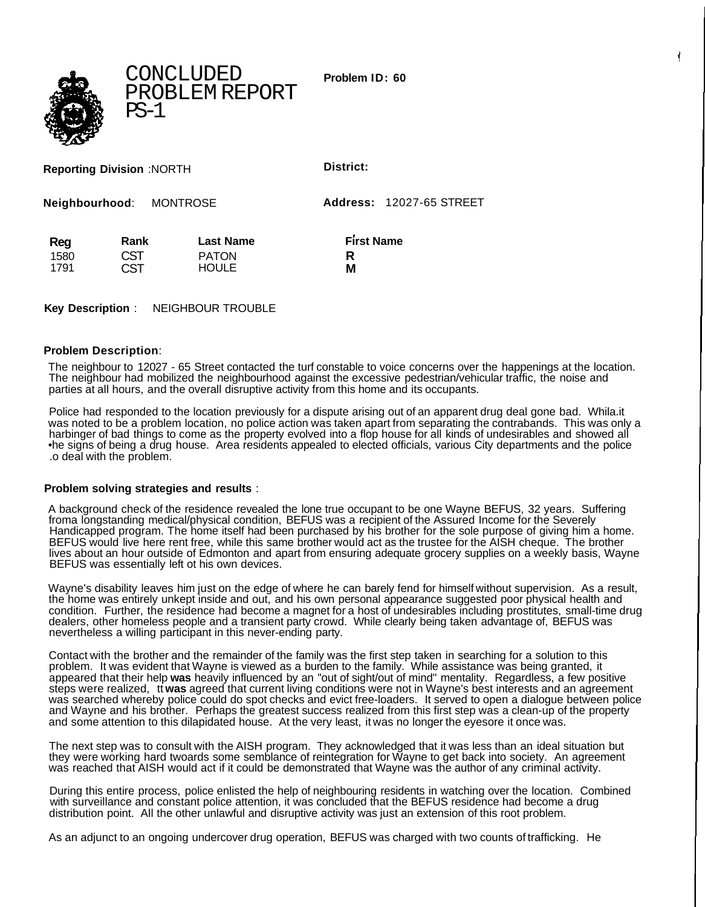**Problem ID: 60**



CONCLUDED PROBLEM REPORT PS-1

**Reporting Division** :NORTH **District:**

**Neighbourhood**: MONTROSE **Address:** 12027-65 STREET

| Reg  | Rank       | <b>Last Name</b> | <b>First Name</b> |
|------|------------|------------------|-------------------|
| 1580 | CST        | <b>PATON</b>     |                   |
| 1791 | <b>CST</b> | <b>HOULE</b>     | Μ                 |

**Key Description** : NEIGHBOUR TROUBLE

## **Problem Description**:

The neighbour to 12027 - 65 Street contacted the turf constable to voice concerns over the happenings at the location. The neighbour had mobilized the neighbourhood against the excessive pedestrian/vehicular traffic, the noise and parties at all hours, and the overall disruptive activity from this home and its occupants.

Police had responded to the location previously for a dispute arising out of an apparent drug deal gone bad. Whila.it was noted to be a problem location, no police action was taken apart from separating the contrabands. This was only a harbinger of bad things to come as the property evolved into a flop house for all kinds of undesirables and showed all •he signs of being a drug house. Area residents appealed to elected officials, various City departments and the police .o deal with the problem.

## **Problem solving strategies and results** :

A background check of the residence revealed the lone true occupant to be one Wayne BEFUS, 32 years. Suffering froma longstanding medical/physical condition, BEFUS was a recipient of the Assured Income for the Severely Handicapped program. The home itself had been purchased by his brother for the sole purpose of giving him a home. BEFUS would live here rent free, while this same brother would act as the trustee for the AISH cheque. The brother lives about an hour outside of Edmonton and apart from ensuring adequate grocery supplies on a weekly basis, Wayne BEFUS was essentially left ot his own devices.

Wayne's disability leaves him just on the edge of where he can barely fend for himself without supervision. As a result, the home was entirely unkept inside and out, and his own personal appearance suggested poor physical health and condition. Further, the residence had become a magnet for a host of undesirables including prostitutes, small-time drug dealers, other homeless people and a transient party crowd. While clearly being taken advantage of, BEFUS was nevertheless a willing participant in this never-ending party.

Contact with the brother and the remainder of the family was the first step taken in searching for a solution to this problem. It was evident that Wayne is viewed as a burden to the family. While assistance was being granted, it appeared that their help **was** heavily influenced by an "out of sight/out of mind" mentality. Regardless, a few positive steps were realized, tt **was** agreed that current living conditions were not in Wayne's best interests and an agreement was searched whereby police could do spot checks and evict free-loaders. It served to open a dialogue between police and Wayne and his brother. Perhaps the greatest success realized from this first step was a clean-up of the property and some attention to this dilapidated house. At the very least, it was no longer the eyesore it once was.

The next step was to consult with the AISH program. They acknowledged that it was less than an ideal situation but they were working hard twoards some semblance of reintegration for Wayne to get back into society. An agreement was reached that AISH would act if it could be demonstrated that Wayne was the author of any criminal activity.

During this entire process, police enlisted the help of neighbouring residents in watching over the location. Combined with surveillance and constant police attention, it was concluded that the BEFUS residence had become a drug distribution point. All the other unlawful and disruptive activity was just an extension of this root problem.

As an adjunct to an ongoing undercover drug operation, BEFUS was charged with two counts of trafficking. He